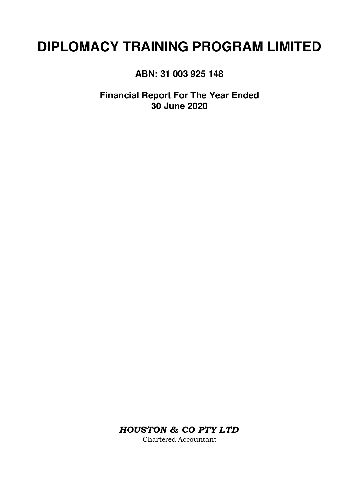# **DIPLOMACY TRAINING PROGRAM LIMITED**

**ABN: 31 003 925 148**

**Financial Report For The Year Ended 30 June 2020**

*HOUSTON & CO PTY LTD*

Chartered Accountant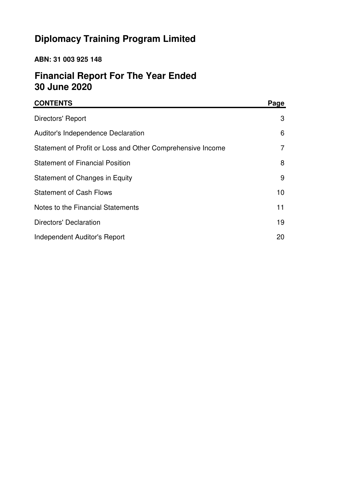# **Diplomacy Training Program Limited**

# **ABN: 31 003 925 148**

# **Financial Report For The Year Ended 30 June 2020**

| <b>CONTENTS</b>                                            | Page |
|------------------------------------------------------------|------|
| Directors' Report                                          | 3    |
| Auditor's Independence Declaration                         | 6    |
| Statement of Profit or Loss and Other Comprehensive Income | 7    |
| <b>Statement of Financial Position</b>                     | 8    |
| Statement of Changes in Equity                             | 9    |
| <b>Statement of Cash Flows</b>                             | 10   |
| Notes to the Financial Statements                          | 11   |
| Directors' Declaration                                     | 19   |
| Independent Auditor's Report                               | 20   |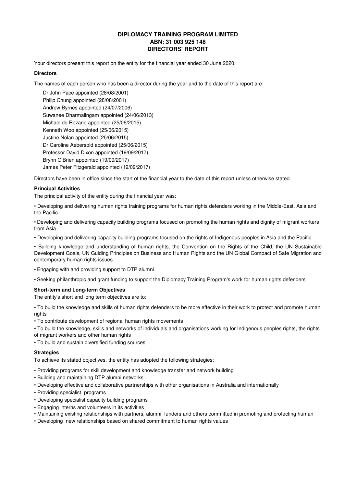# **DIPLOMACY TRAINING PROGRAM LIMITED ABN: 31 003 925 148 DIRECTORS' REPORT**

Your directors present this report on the entity for the financial year ended 30 June 2020.

# **Directors**

The names of each person who has been a director during the year and to the date of this report are:

Suwanee Dharmalingam appointed (24/06/2013) Philip Chung appointed (28/08/2001) Andrew Byrnes appointed (24/07/2006) Brynn O'Brien appointed (19/09/2017) Kenneth Woo appointed (25/06/2015) Michael do Rozario appointed (25/06/2015) James Peter Fitzgerald appointed (19/09/2017) Justine Nolan appointed (25/06/2015) Dr Caroline Aebersold appointed (25/06/2015) Professor David Dixon appointed (19/09/2017) Dr John Pace appointed (28/08/2001)

Directors have been in office since the start of the financial year to the date of this report unless otherwise stated.

# **Principal Activities**

The principal activity of the entity during the financial year was:

• Developing and delivering human rights training programs for human rights defenders working in the Middle-East, Asia and the Pacific

• Developing and delivering capacity building programs focused on promoting the human rights and dignity of migrant workers from Asia

• Developing and delivering capacity building programs focused on the rights of Indigenous peoples in Asia and the Pacific

• Building knowledge and understanding of human rights, the Convention on the Rights of the Child, the UN Sustainable Development Goals, UN Guiding Principles on Business and Human Rights and the UN Global Compact of Safe Migration and contemporary human rights issues

• Engaging with and providing support to DTP alumni

• Seeking philanthropic and grant funding to support the Diplomacy Training Program's work for human rights defenders

# **Short-term and Long-term Objectives**

The entity's short and long term objectives are to:

• To build the knowledge and skills of human rights defenders to be more effective in their work to protect and promote human rights

- To contribute development of regional human rights movements
- To build the knowledge, skills and networks of individuals and organisations working for Indigenous peoples rights, the rights of migrant workers and other human rights
- To build and sustain diversified funding sources

# **Strategies**

To achieve its stated objectives, the entity has adopted the following strategies:

- Providing programs for skill development and knowledge transfer and network building
- Building and maintaining DTP alumni networks
- Developing effective and collaborative partnerships with other organisations in Australia and internationally
- Providing specialist programs
- Developing specialist capacity building programs
- Engaging interns and volunteers in its activities
- Maintaining existing relationships with partners, alumni, funders and others committed in promoting and protecting human
- Developing new relationships based on shared commitment to human rights values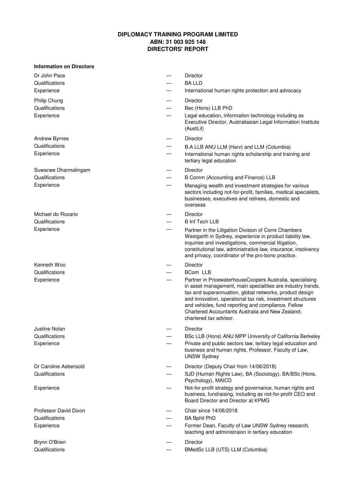# **DIPLOMACY TRAINING PROGRAM LIMITED ABN: 31 003 925 148 DIRECTORS' REPORT**

| Dr John Pace<br>Qualifications<br>Experience          | Director<br><b>BALLD</b><br>International human rights protection and advocacy                                                                                                                                                                                                                                                                                                                                  |
|-------------------------------------------------------|-----------------------------------------------------------------------------------------------------------------------------------------------------------------------------------------------------------------------------------------------------------------------------------------------------------------------------------------------------------------------------------------------------------------|
| Philip Chung<br>Qualifications<br>Experience          | Director<br>Bec (Hons) LLB PhD<br>Legal education, information technology including as<br>Executive Director, Australiasian Legal Information Institute<br>(AustLil)                                                                                                                                                                                                                                            |
| <b>Andrew Byrnes</b><br>Qualifications<br>Experience  | <b>Director</b><br>B.A LLB ANU LLM (Harv) and LLM (Columbia)<br>International human rights scholarship and training and<br>tertiary legal education                                                                                                                                                                                                                                                             |
| Suwanee Dharmalingam<br>Qualifications<br>Experience  | Director<br>B Comm (Accounting and Finance) LLB<br>Managing wealth and investment strategies for various<br>sectors including not-for-profit, families, medical specialists,<br>businesses, executives and retirees, domestic and<br>overseas                                                                                                                                                                   |
| Michael do Rozario<br>Qualifications<br>Experience    | Director<br><b>B Inf Tech LLB</b><br>Partner in the Litigation Division of Corrs Chambers<br>Westgarth in Sydney, experience in product liability law,<br>inquiries and investigations, commercial litigation,<br>constitutional law, administrative law, insurance, insolvency<br>and privacy, coordinator of the pro-bono practice.                                                                           |
| Kenneth Woo<br>Qualifications<br>Experience           | Director<br>BCom LLB<br>Partner in PricewaterhouseCoopers Australia, specialising<br>in asset management, main specialities are industry trends,<br>tax and superannuation, global networks, product design<br>and innovation, operational tax risk, investment structures<br>and vehicles, fund reporting and compliance. Fellow<br>Chartered Accountants Australia and New Zealand;<br>chartered tax advisor. |
| Justine Nolan<br>Qualifications<br>Experience         | Director<br>BSc LLB (Hons) ANU MPP University of California Berkeley<br>Private and public sectors law, tertiary legal education and<br>business and human rights, Professor, Faculty of Law,<br><b>UNSW Sydney</b>                                                                                                                                                                                             |
| Dr Caroline Aebersold<br>Qualifications<br>Experience | Director (Deputy Chair from 14/06/2018)<br>SJD (Human Rights Law), BA (Sociology), BA/BSc (Hons,<br>Psychology), MAICD<br>Not-for-profit strategy and governance, human rights and<br>business, fundraising, including as not-for-profit CEO and                                                                                                                                                                |
| Professor David Dixon<br>Qualifications<br>Experience | Board Director and Director at KPMG<br>Chair since 14/06/2018<br><b>BA Bphil PhD</b><br>Former Dean, Faculty of Law UNSW Sydney research,<br>teaching and administraion in tertiary education                                                                                                                                                                                                                   |
| Brynn O'Brien<br>Qualifications                       | Director<br>BMedSc LLB (UTS) LLM (Columbia)                                                                                                                                                                                                                                                                                                                                                                     |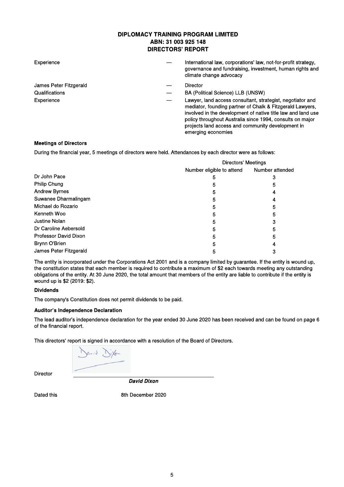# **DIPLOMACY TRAINING PROGRAM LIMITED** ABN: 31 003 925 148 **DIRECTORS' REPORT**

| Experience             | International law, corporations' law, not-for-profit strategy,<br>governance and fundraising, investment, human rights and<br>climate change advocacy                                                                                                                                                                           |
|------------------------|---------------------------------------------------------------------------------------------------------------------------------------------------------------------------------------------------------------------------------------------------------------------------------------------------------------------------------|
| James Peter Fitzgerald | Director                                                                                                                                                                                                                                                                                                                        |
| <b>Qualifications</b>  | BA (Political Science) LLB (UNSW)                                                                                                                                                                                                                                                                                               |
| Experience             | Lawyer, land access consultant, strategist, negotiator and<br>mediator, founding partner of Chalk & Fitzgerald Lawyers,<br>involved in the development of native title law and land use<br>policy throughout Australia since 1994, consults on major<br>projects land access and community development in<br>emerging economies |

# **Meetings of Directors**

During the financial year, 5 meetings of directors were held. Attendances by each director were as follows:

|                        | <b>Directors' Meetings</b> |                 |  |
|------------------------|----------------------------|-----------------|--|
|                        | Number eligible to attend  | Number attended |  |
| Dr John Pace           | 5                          | 3               |  |
| Philip Chung           | b                          | 5               |  |
| <b>Andrew Byrnes</b>   | 5                          | 4               |  |
| Suwanee Dharmalingam   | 5                          | 4               |  |
| Michael do Rozario     | 5                          | 5               |  |
| Kenneth Woo            | 5                          | 5               |  |
| Justine Nolan          | 5                          | 3               |  |
| Dr Caroline Aebersold  | 5                          | 5               |  |
| Professor David Dixon  | 5                          | 5               |  |
| Brynn O'Brien          |                            |                 |  |
| James Peter Fitzgerald | 5                          |                 |  |

The entity is incorporated under the Corporations Act 2001 and is a company limited by guarantee. If the entity is wound up, the constitution states that each member is required to contribute a maximum of \$2 each towards meeting any outstanding obligations of the entity. At 30 June 2020, the total amount that members of the entity are liable to contribute if the entity is wound up is \$2 (2019: \$2).

## **Dividends**

The company's Constitution does not permit dividends to be paid.

## **Auditor's Independence Declaration**

The lead auditor's independence declaration for the year ended 30 June 2020 has been received and can be found on page 6 of the financial report.

This directors' report is signed in accordance with a resolution of the Board of Directors.

Director

**David Dixon** 

Dated this

8th December 2020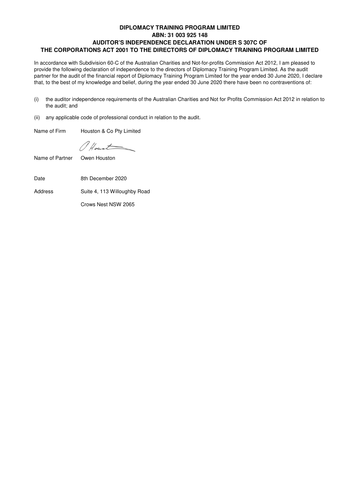# **DIPLOMACY TRAINING PROGRAM LIMITED ABN: 31 003 925 148 AUDITOR'S INDEPENDENCE DECLARATION UNDER S 307C OF THE CORPORATIONS ACT 2001 TO THE DIRECTORS OF DIPLOMACY TRAINING PROGRAM LIMITED**

In accordance with Subdivision 60-C of the Australian Charities and Not-for-profits Commission Act 2012, I am pleased to provide the following declaration of independence to the directors of Diplomacy Training Program Limited. As the audit partner for the audit of the financial report of Diplomacy Training Program Limited for the year ended 30 June 2020, I declare that, to the best of my knowledge and belief, during the year ended 30 June 2020 there have been no contraventions of:

- (i) the auditor independence requirements of the Australian Charities and Not for Profits Commission Act 2012 in relation to the audit; and
- (ii) any applicable code of professional conduct in relation to the audit.

Name of Firm Houston & Co Pty Limited

Mount

Name of Partner Owen Houston

Date 8th December 2020

Address Suite 4, 113 Willoughby Road

Crows Nest NSW 2065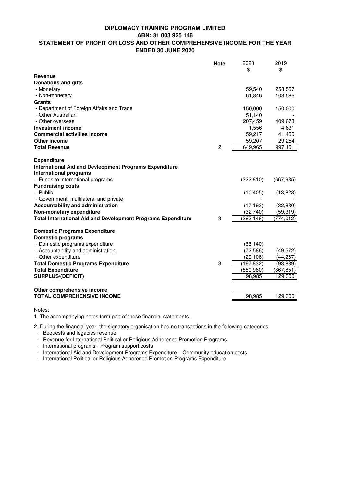# **DIPLOMACY TRAINING PROGRAM LIMITED**

**ABN: 31 003 925 148**

# **STATEMENT OF PROFIT OR LOSS AND OTHER COMPREHENSIVE INCOME FOR THE YEAR ENDED 30 JUNE 2020**

|                                                                                                | <b>Note</b>    | 2020<br>\$ | 2019<br>\$ |
|------------------------------------------------------------------------------------------------|----------------|------------|------------|
| <b>Revenue</b>                                                                                 |                |            |            |
| <b>Donations and gifts</b>                                                                     |                |            |            |
| - Monetary                                                                                     |                | 59,540     | 258,557    |
| - Non-monetary                                                                                 |                | 61,846     | 103,586    |
| <b>Grants</b>                                                                                  |                |            |            |
| - Department of Foreign Affairs and Trade                                                      |                | 150,000    | 150,000    |
| - Other Australian                                                                             |                | 51,140     |            |
| - Other overseas                                                                               |                | 207,459    | 409,673    |
| <b>Investment income</b>                                                                       |                | 1,556      | 4,631      |
| <b>Commercial activities income</b>                                                            |                | 59,217     | 41,450     |
| Other income                                                                                   |                | 59,207     | 29,254     |
| <b>Total Revenue</b>                                                                           | $\overline{2}$ | 649,965    | 997,151    |
|                                                                                                |                |            |            |
| <b>Expenditure</b>                                                                             |                |            |            |
| <b>International Aid and Devleopment Programs Expenditure</b><br><b>International programs</b> |                |            |            |
| - Funds to international programs                                                              |                | (322, 810) | (667, 985) |
| <b>Fundraising costs</b>                                                                       |                |            |            |
| - Public                                                                                       |                | (10, 405)  | (13,828)   |
| - Government, multilateral and private                                                         |                |            |            |
| <b>Accountability and administration</b>                                                       |                | (17, 193)  | (32, 880)  |
| Non-monetary expenditure                                                                       |                | (32,740)   | (59, 319)  |
| <b>Total International Aid and Development Programs Expenditure</b>                            | 3              | (383, 148) | (774, 012) |
|                                                                                                |                |            |            |
| <b>Domestic Programs Expenditure</b>                                                           |                |            |            |
| <b>Domestic programs</b>                                                                       |                |            |            |
| - Domestic programs expenditure                                                                |                | (66, 140)  |            |
| - Accountability and administration                                                            |                | (72, 586)  | (49, 572)  |
| - Other expenditure                                                                            |                | (29, 106)  | (44, 267)  |
| <b>Total Domestic Programs Expenditure</b>                                                     | 3              | (167, 832) | (93, 839)  |
| <b>Total Expenditure</b>                                                                       |                | (550,980)  | (867, 851) |
| <b>SURPLUS/(DEFICIT)</b>                                                                       |                | 98,985     | 129,300    |
|                                                                                                |                |            |            |
| Other comprehensive income                                                                     |                |            |            |
| <b>TOTAL COMPREHENSIVE INCOME</b>                                                              |                | 98,985     | 129,300    |
|                                                                                                |                |            |            |

Notes:

1. The accompanying notes form part of these financial statements.

2. During the financial year, the signatory organisation had no transactions in the following categories:

· Bequests and legacies revenue

· Revenue for International Political or Religious Adherence Promotion Programs

· International programs - Program support costs

· International Aid and Development Programs Expenditure – Community education costs

· International Political or Religious Adherence Promotion Programs Expenditure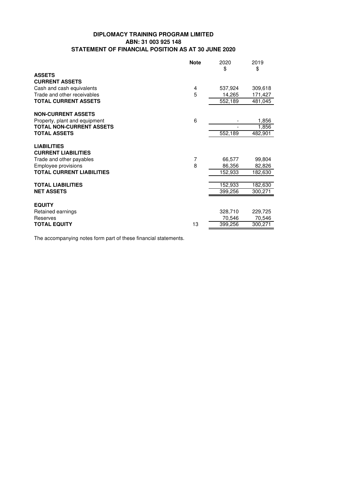# **DIPLOMACY TRAINING PROGRAM LIMITED ABN: 31 003 925 148 STATEMENT OF FINANCIAL POSITION AS AT 30 JUNE 2020**

|                                                  | <b>Note</b> | 2020<br>\$ | 2019<br>\$ |
|--------------------------------------------------|-------------|------------|------------|
| <b>ASSETS</b><br><b>CURRENT ASSETS</b>           |             |            |            |
| Cash and cash equivalents                        | 4           | 537,924    | 309,618    |
| Trade and other receivables                      | 5           | 14,265     | 171,427    |
| <b>TOTAL CURRENT ASSETS</b>                      |             | 552,189    | 481,045    |
| <b>NON-CURRENT ASSETS</b>                        |             |            |            |
| Property, plant and equipment                    | 6           |            | 1,856      |
| <b>TOTAL NON-CURRENT ASSETS</b>                  |             |            | 1,856      |
| <b>TOTAL ASSETS</b>                              |             | 552,189    | 482,901    |
| <b>LIABILITIES</b><br><b>CURRENT LIABILITIES</b> |             |            |            |
| Trade and other payables                         | 7           | 66,577     | 99,804     |
| Employee provisions                              | 8           | 86,356     | 82,826     |
| <b>TOTAL CURRENT LIABILITIES</b>                 |             | 152,933    | 182,630    |
| <b>TOTAL LIABILITIES</b>                         |             | 152,933    | 182,630    |
| <b>NET ASSETS</b>                                |             | 399,256    | 300,271    |
|                                                  |             |            |            |
| <b>EQUITY</b>                                    |             |            |            |
| Retained earnings                                |             | 328,710    | 229,725    |
| Reserves                                         |             | 70,546     | 70,546     |
| <b>TOTAL EQUITY</b>                              | 13          | 399,256    | 300,271    |

The accompanying notes form part of these financial statements.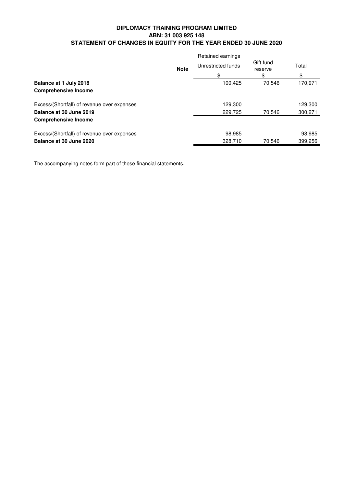# **DIPLOMACY TRAINING PROGRAM LIMITED ABN: 31 003 925 148 STATEMENT OF CHANGES IN EQUITY FOR THE YEAR ENDED 30 JUNE 2020**

|                                             |             | Retained earnings  |                      |         |
|---------------------------------------------|-------------|--------------------|----------------------|---------|
|                                             | <b>Note</b> | Unrestricted funds | Gift fund<br>reserve | Total   |
|                                             |             | \$                 | \$                   | \$      |
| Balance at 1 July 2018                      |             | 100.425            | 70.546               | 170,971 |
| <b>Comprehensive Income</b>                 |             |                    |                      |         |
| Excess/(Shortfall) of revenue over expenses |             | 129.300            |                      | 129,300 |
| Balance at 30 June 2019                     |             | 229,725            | 70.546               | 300,271 |
| <b>Comprehensive Income</b>                 |             |                    |                      |         |
| Excess/(Shortfall) of revenue over expenses |             | 98.985             |                      | 98,985  |
| Balance at 30 June 2020                     |             | 328.710            | 70.546               | 399.256 |

The accompanying notes form part of these financial statements.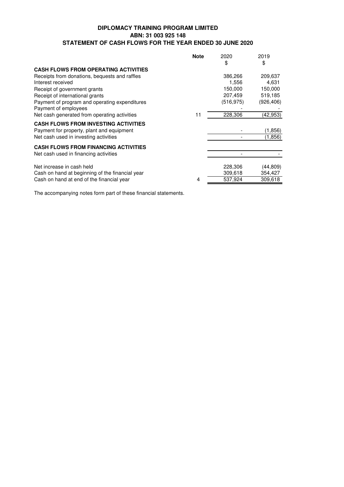# **DIPLOMACY TRAINING PROGRAM LIMITED ABN: 31 003 925 148 STATEMENT OF CASH FLOWS FOR THE YEAR ENDED 30 JUNE 2020**

|                                                 | <b>Note</b> | 2020       | 2019      |
|-------------------------------------------------|-------------|------------|-----------|
|                                                 |             | \$         | \$        |
| <b>CASH FLOWS FROM OPERATING ACTIVITIES</b>     |             |            |           |
| Receipts from donations, bequests and raffles   |             | 386,266    | 209,637   |
| Interest received                               |             | 1,556      | 4,631     |
| Receipt of government grants                    |             | 150,000    | 150,000   |
| Receipt of international grants                 |             | 207,459    | 519,185   |
| Payment of program and operating expenditures   |             | (516, 975) | (926,406) |
| Payment of employees                            |             |            |           |
| Net cash generated from operating activities    | 11          | 228,306    | (42, 953) |
| <b>CASH FLOWS FROM INVESTING ACTIVITIES</b>     |             |            |           |
| Payment for property, plant and equipment       |             |            | (1,856)   |
| Net cash used in investing activities           |             |            | (1,856)   |
| <b>CASH FLOWS FROM FINANCING ACTIVITIES</b>     |             |            |           |
| Net cash used in financing activities           |             |            |           |
| Net increase in cash held                       |             | 228,306    | (44,809)  |
| Cash on hand at beginning of the financial year |             | 309,618    | 354,427   |
| Cash on hand at end of the financial year       | 4           | 537,924    | 309,618   |

The accompanying notes form part of these financial statements.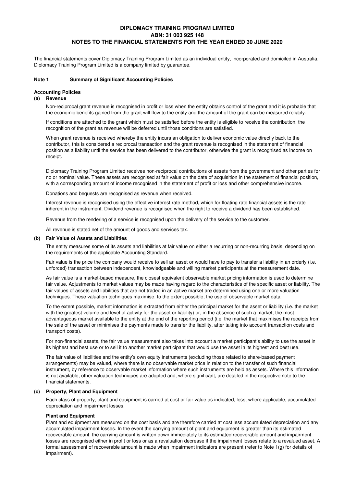The financial statements cover Diplomacy Training Program Limited as an individual entity, incorporated and domiciled in Australia. Diplomacy Training Program Limited is a company limited by guarantee.

## **Note 1 Summary of Significant Accounting Policies**

#### **Accounting Policies**

#### **(a) Revenue**

Non-reciprocal grant revenue is recognised in profit or loss when the entity obtains control of the grant and it is probable that the economic benefits gained from the grant will flow to the entity and the amount of the grant can be measured reliably.

If conditions are attached to the grant which must be satisfied before the entity is eligible to receive the contribution, the recognition of the grant as revenue will be deferred until those conditions are satisfied.

When grant revenue is received whereby the entity incurs an obligation to deliver economic value directly back to the contributor, this is considered a reciprocal transaction and the grant revenue is recognised in the statement of financial position as a liability until the service has been delivered to the contributor, otherwise the grant is recognised as income on receipt.

Diplomacy Training Program Limited receives non-reciprocal contributions of assets from the government and other parties for no or nominal value. These assets are recognised at fair value on the date of acquisition in the statement of financial position, with a corresponding amount of income recognised in the statement of profit or loss and other comprehensive income.

Donations and bequests are recognised as revenue when received.

Interest revenue is recognised using the effective interest rate method, which for floating rate financial assets is the rate inherent in the instrument. Dividend revenue is recognised when the right to receive a dividend has been established.

Revenue from the rendering of a service is recognised upon the delivery of the service to the customer.

All revenue is stated net of the amount of goods and services tax.

#### **(b) Fair Value of Assets and Liabilities**

The entity measures some of its assets and liabilities at fair value on either a recurring or non-recurring basis, depending on the requirements of the applicable Accounting Standard.

Fair value is the price the company would receive to sell an asset or would have to pay to transfer a liability in an orderly (i.e. unforced) transaction between independent, knowledgeable and willing market participants at the measurement date.

As fair value is a market-based measure, the closest equivalent observable market pricing information is used to determine fair value. Adjustments to market values may be made having regard to the characteristics of the specific asset or liability. The fair values of assets and liabilities that are not traded in an active market are determined using one or more valuation techniques. These valuation techniques maximise, to the extent possible, the use of observable market data.

To the extent possible, market information is extracted from either the principal market for the asset or liability (i.e. the market with the greatest volume and level of activity for the asset or liability) or, in the absence of such a market, the most advantageous market available to the entity at the end of the reporting period (i.e. the market that maximises the receipts from the sale of the asset or minimises the payments made to transfer the liability, after taking into account transaction costs and transport costs).

For non-financial assets, the fair value measurement also takes into account a market participant's ability to use the asset in its highest and best use or to sell it to another market participant that would use the asset in its highest and best use.

The fair value of liabilities and the entity's own equity instruments (excluding those related to share-based payment arrangements) may be valued, where there is no observable market price in relation to the transfer of such financial instrument, by reference to observable market information where such instruments are held as assets. Where this information is not available, other valuation techniques are adopted and, where significant, are detailed in the respective note to the financial statements.

#### **(c) Property, Plant and Equipment**

Each class of property, plant and equipment is carried at cost or fair value as indicated, less, where applicable, accumulated depreciation and impairment losses.

## **Plant and Equipment**

Plant and equipment are measured on the cost basis and are therefore carried at cost less accumulated depreciation and any accumulated impairment losses. In the event the carrying amount of plant and equipment is greater than its estimated recoverable amount, the carrying amount is written down immediately to its estimated recoverable amount and impairment losses are recognised either in profit or loss or as a revaluation decrease if the impairment losses relate to a revalued asset. A formal assessment of recoverable amount is made when impairment indicators are present (refer to Note 1(g) for details of impairment).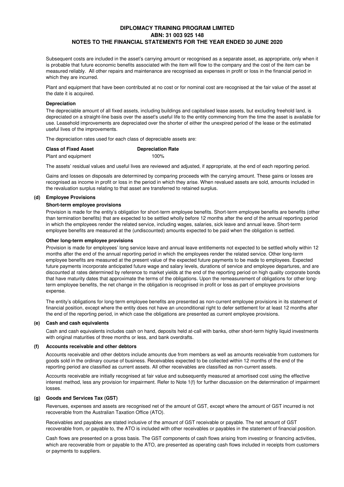Subsequent costs are included in the asset's carrying amount or recognised as a separate asset, as appropriate, only when it is probable that future economic benefits associated with the item will flow to the company and the cost of the item can be measured reliably. All other repairs and maintenance are recognised as expenses in profit or loss in the financial period in which they are incurred.

Plant and equipment that have been contributed at no cost or for nominal cost are recognised at the fair value of the asset at the date it is acquired.

#### **Depreciation**

The depreciable amount of all fixed assets, including buildings and capitalised lease assets, but excluding freehold land, is depreciated on a straight-line basis over the asset's useful life to the entity commencing from the time the asset is available for use. Leasehold improvements are depreciated over the shorter of either the unexpired period of the lease or the estimated useful lives of the improvements.

The depreciation rates used for each class of depreciable assets are:

| <b>Class of Fixed Asset</b> | <b>Depreciation Rate</b> |
|-----------------------------|--------------------------|
| Plant and equipment         | $100\%$                  |

The assets' residual values and useful lives are reviewed and adjusted, if appropriate, at the end of each reporting period.

Gains and losses on disposals are determined by comparing proceeds with the carrying amount. These gains or losses are recognised as income in profit or loss in the period in which they arise. When revalued assets are sold, amounts included in the revaluation surplus relating to that asset are transferred to retained surplus.

#### **(d) Employee Provisions**

#### **Short-term employee provisions**

Provision is made for the entity's obligation for short-term employee benefits. Short-term employee benefits are benefits (other than termination benefits) that are expected to be settled wholly before 12 months after the end of the annual reporting period in which the employees render the related service, including wages, salaries, sick leave and annual leave. Short-term employee benefits are measured at the (undiscounted) amounts expected to be paid when the obligation is settled.

#### **Other long-term employee provisions**

Provision is made for employees' long service leave and annual leave entitlements not expected to be settled wholly within 12 months after the end of the annual reporting period in which the employees render the related service. Other long-term employee benefits are measured at the present value of the expected future payments to be made to employees. Expected future payments incorporate anticipated future wage and salary levels, durations of service and employee departures, and are discounted at rates determined by reference to market yields at the end of the reporting period on high quality corporate bonds that have maturity dates that approximate the terms of the obligations. Upon the remeasurement of obligations for other longterm employee benefits, the net change in the obligation is recognised in profit or loss as part of employee provisions expense.

The entity's obligations for long-term employee benefits are presented as non-current employee provisions in its statement of financial position, except where the entity does not have an unconditional right to defer settlement for at least 12 months after the end of the reporting period, in which case the obligations are presented as current employee provisions.

#### **(e) Cash and cash equivalents**

Cash and cash equivalents includes cash on hand, deposits held at-call with banks, other short-term highly liquid investments with original maturities of three months or less, and bank overdrafts.

#### **(f) Accounts receivable and other debtors**

Accounts receivable and other debtors include amounts due from members as well as amounts receivable from customers for goods sold in the ordinary course of business. Receivables expected to be collected within 12 months of the end of the reporting period are classified as current assets. All other receivables are classified as non-current assets.

Accounts receivable are initially recognised at fair value and subsequently measured at amortised cost using the effective interest method, less any provision for impairment. Refer to Note 1(f) for further discussion on the determination of impairment losses.

## **(g) Goods and Services Tax (GST)**

Revenues, expenses and assets are recognised net of the amount of GST, except where the amount of GST incurred is not recoverable from the Australian Taxation Office (ATO).

Receivables and payables are stated inclusive of the amount of GST receivable or payable. The net amount of GST recoverable from, or payable to, the ATO is included with other receivables or payables in the statement of financial position.

Cash flows are presented on a gross basis. The GST components of cash flows arising from investing or financing activities, which are recoverable from or payable to the ATO, are presented as operating cash flows included in receipts from customers or payments to suppliers.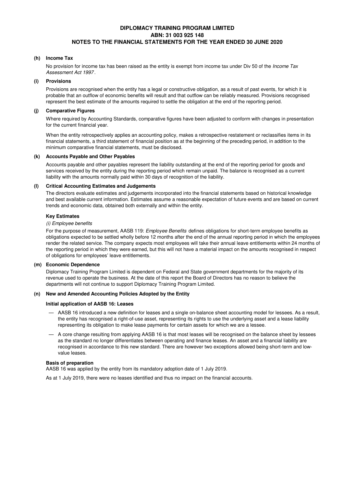#### **(h) Income Tax**

No provision for income tax has been raised as the entity is exempt from income tax under Div 50 of the Income Tax Assessment Act 1997 .

#### **(i) Provisions**

Provisions are recognised when the entity has a legal or constructive obligation, as a result of past events, for which it is probable that an outflow of economic benefits will result and that outflow can be reliably measured. Provisions recognised represent the best estimate of the amounts required to settle the obligation at the end of the reporting period.

#### **(j) Comparative Figures**

Where required by Accounting Standards, comparative figures have been adjusted to conform with changes in presentation for the current financial year.

When the entity retrospectively applies an accounting policy, makes a retrospective restatement or reclassifies items in its financial statements, a third statement of financial position as at the beginning of the preceding period, in addition to the minimum comparative financial statements, must be disclosed.

#### **(k) Accounts Payable and Other Payables**

Accounts payable and other payables represent the liability outstanding at the end of the reporting period for goods and services received by the entity during the reporting period which remain unpaid. The balance is recognised as a current liability with the amounts normally paid within 30 days of recognition of the liability.

#### **(l) Critical Accounting Estimates and Judgements**

The directors evaluate estimates and judgements incorporated into the financial statements based on historical knowledge and best available current information. Estimates assume a reasonable expectation of future events and are based on current trends and economic data, obtained both externally and within the entity.

#### **Key Estimates**

#### (i) Employee benefits

For the purpose of measurement, AASB 119: *Employee Benefits* defines obligations for short-term employee benefits as obligations expected to be settled wholly before 12 months after the end of the annual reporting period in which the employees render the related service. The company expects most employees will take their annual leave entitlements within 24 months of the reporting period in which they were earned, but this will not have a material impact on the amounts recognised in respect of obligations for employees' leave entitlements.

#### **(m) Economic Dependence**

Diplomacy Training Program Limited is dependent on Federal and State government departments for the majority of its revenue used to operate the business. At the date of this report the Board of Directors has no reason to believe the departments will not continue to support Diplomacy Training Program Limited.

#### **(n) New and Amended Accounting Policies Adopted by the Entity**

#### **Initial application of AASB 16: Leases**

- AASB 16 introduced a new definition for leases and a single on-balance sheet accounting model for lessees. As a result, the entity has recognised a right-of-use asset, representing its rights to use the underlying asset and a lease liability representing its obligation to make lease payments for certain assets for which we are a lessee.
- A core change resulting from applying AASB 16 is that most leases will be recognised on the balance sheet by lessees as the standard no longer differentiates between operating and finance leases. An asset and a financial liability are recognised in accordance to this new standard. There are however two exceptions allowed being short-term and lowvalue leases.

#### **Basis of preparation**

AASB 16 was applied by the entity from its mandatory adoption date of 1 July 2019.

As at 1 July 2019, there were no leases identified and thus no impact on the financial accounts.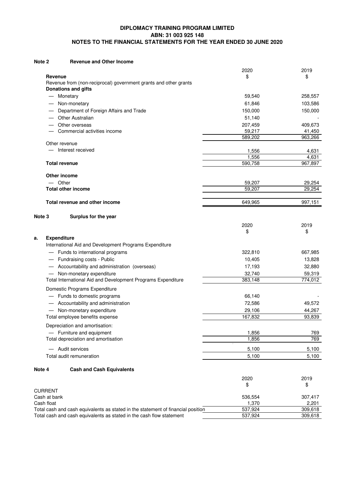#### **Revenue and Other Income Note 2**

|                            |                                                                                  | 2020              | 2019              |
|----------------------------|----------------------------------------------------------------------------------|-------------------|-------------------|
| Revenue                    |                                                                                  | \$                | \$                |
|                            | Revenue from (non-reciprocal) government grants and other grants                 |                   |                   |
|                            | <b>Donations and gifts</b>                                                       |                   |                   |
|                            | Monetary                                                                         | 59,540            | 258,557           |
|                            | Non-monetary                                                                     | 61,846            | 103,586           |
|                            | Department of Foreign Affairs and Trade                                          | 150,000           | 150,000           |
|                            | Other Australian                                                                 | 51,140            |                   |
|                            | Other overseas<br>Commercial activities income                                   | 207,459<br>59,217 | 409,673           |
|                            |                                                                                  | 589,202           | 41,450<br>963,266 |
|                            | Other revenue                                                                    |                   |                   |
|                            | Interest received                                                                | 1,556             | 4,631             |
|                            |                                                                                  | 1,556             | 4,631             |
|                            | <b>Total revenue</b>                                                             | 590,758           | 967,897           |
|                            | Other income                                                                     |                   |                   |
| $-$ Other                  |                                                                                  | 59,207            | 29,254            |
|                            | <b>Total other income</b>                                                        | 59,207            | 29,254            |
|                            |                                                                                  |                   |                   |
|                            | Total revenue and other income                                                   | 649,965           | 997,151           |
| Note 3                     | Surplus for the year                                                             |                   |                   |
|                            |                                                                                  | 2020              | 2019              |
|                            |                                                                                  | \$                | \$                |
| <b>Expenditure</b><br>а.   |                                                                                  |                   |                   |
|                            | International Aid and Development Programs Expenditure                           |                   |                   |
|                            | - Funds to international programs                                                | 322,810           | 667,985           |
|                            | Fundraising costs - Public                                                       | 10,405            | 13,828            |
|                            | Accountability and administration (overseas)                                     | 17,193            | 32,880            |
|                            | Non-monetary expenditure                                                         | 32,740            | 59,319            |
|                            | Total International Aid and Development Programs Expenditure                     | 383,148           | 774,012           |
|                            | Domestic Programs Expenditure                                                    |                   |                   |
|                            | Funds to domestic programs                                                       | 66,140            |                   |
|                            | - Accountability and administration                                              | 72,586            | 49,572            |
|                            | Non-monetary expenditure                                                         | 29,106            | 44,267            |
|                            | Total employee benefits expense                                                  | 167,832           | 93,839            |
|                            | Depreciation and amortisation:                                                   |                   |                   |
|                            | - Furniture and equipment                                                        | 1,856             | 769               |
|                            | Total depreciation and amortisation                                              | 1,856             | 769               |
|                            | Audit services                                                                   | 5,100             | 5,100             |
|                            | Total audit remuneration                                                         | 5,100             | 5,100             |
| Note 4                     | <b>Cash and Cash Equivalents</b>                                                 |                   |                   |
|                            |                                                                                  | 2020              | 2019              |
|                            |                                                                                  | \$                | \$                |
| <b>CURRENT</b>             |                                                                                  |                   |                   |
| Cash at bank<br>Cash float |                                                                                  | 536,554<br>1,370  | 307,417<br>2,201  |
|                            | Total cash and cash equivalents as stated in the statement of financial position | 537,924           | 309,618           |
|                            | Total cash and cash equivalents as stated in the cash flow statement             | 537,924           | 309,618           |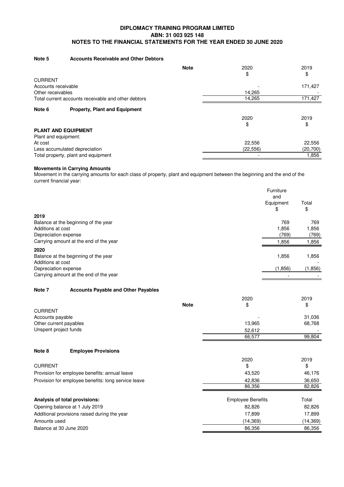#### **Note 5 Accounts Receivable and Other Debtors**

|                                                     | <b>Note</b> | 2020<br>\$ | 2019<br>\$ |
|-----------------------------------------------------|-------------|------------|------------|
| <b>CURRENT</b>                                      |             |            |            |
| Accounts receivable                                 |             |            | 171,427    |
| Other receivables                                   |             | 14,265     |            |
| Total current accounts receivable and other debtors |             | 14,265     | 171,427    |
| <b>Property, Plant and Equipment</b><br>Note 6      |             |            |            |
|                                                     |             | 2020       | 2019       |
|                                                     |             | \$         | \$         |
| <b>PLANT AND EQUIPMENT</b>                          |             |            |            |
| Plant and equipment:                                |             |            |            |
| At cost                                             |             | 22,556     | 22,556     |
| Less accumulated depreciation                       |             | (22, 556)  | (20,700)   |
| Total property, plant and equipment                 |             |            | .856       |

## **Movements in Carrying Amounts**

Movement in the carrying amounts for each class of property, plant and equipment between the beginning and the end of the current financial year:

|                                                     |                                               |             |                          | Furniture<br>and<br>Equipment<br>\$ | Total<br>\$    |
|-----------------------------------------------------|-----------------------------------------------|-------------|--------------------------|-------------------------------------|----------------|
| 2019                                                |                                               |             |                          |                                     |                |
|                                                     | Balance at the beginning of the year          |             |                          | 769                                 | 769            |
| Additions at cost<br>Depreciation expense           |                                               |             |                          | 1,856<br>(769)                      | 1,856<br>(769) |
|                                                     | Carrying amount at the end of the year        |             |                          | 1,856                               | 1,856          |
| 2020                                                |                                               |             |                          |                                     |                |
| Additions at cost                                   | Balance at the beginning of the year          |             |                          | 1,856                               | 1,856          |
| Depreciation expense                                |                                               |             |                          | (1, 856)                            | (1,856)        |
|                                                     | Carrying amount at the end of the year        |             |                          |                                     |                |
| Note 7                                              |                                               |             |                          |                                     |                |
|                                                     | <b>Accounts Payable and Other Payables</b>    |             |                          |                                     |                |
|                                                     |                                               | <b>Note</b> | 2020<br>\$               |                                     | 2019<br>\$     |
| <b>CURRENT</b>                                      |                                               |             |                          |                                     |                |
| Accounts payable                                    |                                               |             |                          |                                     | 31,036         |
| Other current payables                              |                                               |             | 13,965                   |                                     | 68,768         |
| Unspent project funds                               |                                               |             | 52,612                   |                                     |                |
|                                                     |                                               |             | 66,577                   |                                     | 99,804         |
| Note 8                                              | <b>Employee Provisions</b>                    |             |                          |                                     |                |
|                                                     |                                               |             | 2020                     |                                     | 2019           |
| <b>CURRENT</b>                                      |                                               |             | \$                       |                                     | \$             |
|                                                     | Provision for employee benefits: annual leave |             | 43,520                   |                                     | 46,176         |
| Provision for employee benefits: long service leave |                                               |             | 42,836                   |                                     | 36,650         |
|                                                     |                                               |             | 86,356                   |                                     | 82,826         |
|                                                     | Analysis of total provisions:                 |             | <b>Employee Benefits</b> |                                     | Total          |
| Opening balance at 1 July 2019                      |                                               | 82,826      |                          | 82,826                              |                |
| Additional provisions raised during the year        |                                               | 17,899      |                          | 17,899                              |                |
| Amounts used                                        |                                               |             | (14, 369)                |                                     | (14, 369)      |
| Balance at 30 June 2020                             |                                               |             | 86,356                   |                                     | 86,356         |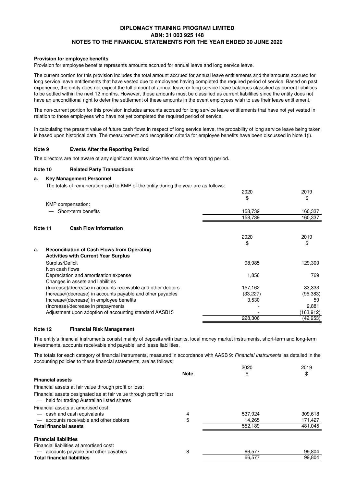#### **Provision for employee benefits**

Provision for employee benefits represents amounts accrued for annual leave and long service leave.

The current portion for this provision includes the total amount accrued for annual leave entitlements and the amounts accrued for long service leave entitlements that have vested due to employees having completed the required period of service. Based on past experience, the entity does not expect the full amount of annual leave or long service leave balances classified as current liabilities to be settled within the next 12 months. However, these amounts must be classified as current liabilities since the entity does not have an unconditional right to defer the settlement of these amounts in the event employees wish to use their leave entitlement.

The non-current portion for this provision includes amounts accrued for long service leave entitlements that have not yet vested in relation to those employees who have not yet completed the required period of service.

In calculating the present value of future cash flows in respect of long service leave, the probability of long service leave being taken is based upon historical data. The measurement and recognition criteria for employee benefits have been discussed in Note 1(i).

#### **Events After the Reporting Period Note 9**

The directors are not aware of any significant events since the end of the reporting period.

#### **Note 10 Related Party Transactions**

#### **a. Key Management Personnel**

The totals of remuneration paid to KMP of the entity during the year are as follows:

|         |                                                              | 2020      | 2019      |
|---------|--------------------------------------------------------------|-----------|-----------|
|         |                                                              | \$        | \$        |
|         | KMP compensation:                                            |           |           |
|         | Short-term benefits                                          | 158,739   | 160,337   |
|         |                                                              | 158,739   | 160,337   |
| Note 11 | <b>Cash Flow Information</b>                                 |           |           |
|         |                                                              | 2020      | 2019      |
|         |                                                              | \$        | \$        |
| a.      | <b>Reconciliation of Cash Flows from Operating</b>           |           |           |
|         | <b>Activities with Current Year Surplus</b>                  |           |           |
|         | Surplus/Deficit                                              | 98,985    | 129,300   |
|         | Non cash flows                                               |           |           |
|         | Depreciation and amortisation expense                        | 1,856     | 769       |
|         | Changes in assets and liabilities                            |           |           |
|         | (Increase)/decrease in accounts receivable and other debtors | 157,162   | 83,333    |
|         | Increase/(decrease) in accounts payable and other payables   | (33, 227) | (95, 383) |
|         | Increase/(decrease) in employee benefits                     | 3,530     | 59        |
|         | (Increase)/decrease in prepayments                           |           | 2,881     |
|         | Adjustment upon adoption of accounting standard AASB15       |           | (163,912) |
|         |                                                              | 228,306   | (42,953)  |

#### **Note 12 Financial Risk Management**

The entity's financial instruments consist mainly of deposits with banks, local money market instruments, short-term and long-term investments, accounts receivable and payable, and lease liabilities.

The totals for each category of financial instruments, measured in accordance with AASB 9: Financial Instruments as detailed in the accounting policies to these financial statements, are as follows:

| <b>Note</b><br>\$<br>\$<br><b>Financial assets</b><br>Financial assets at fair value through profit or loss:<br>Financial assets designated as at fair value through profit or loss |         |
|-------------------------------------------------------------------------------------------------------------------------------------------------------------------------------------|---------|
|                                                                                                                                                                                     |         |
|                                                                                                                                                                                     |         |
|                                                                                                                                                                                     |         |
| - held for trading Australian listed shares                                                                                                                                         |         |
| Financial assets at amortised cost:                                                                                                                                                 |         |
| - cash and cash equivalents<br>537.924<br>4                                                                                                                                         | 309,618 |
| 5<br>- accounts receivable and other debtors<br>14.265                                                                                                                              | 171,427 |
| 552.189<br><b>Total financial assets</b>                                                                                                                                            | 481,045 |
| <b>Financial liabilities</b>                                                                                                                                                        |         |
| Financial liabilities at amortised cost:                                                                                                                                            |         |
| 8<br>- accounts payable and other payables<br>66,577                                                                                                                                | 99,804  |
| <b>Total financial liabilities</b><br>66,577                                                                                                                                        | 99,804  |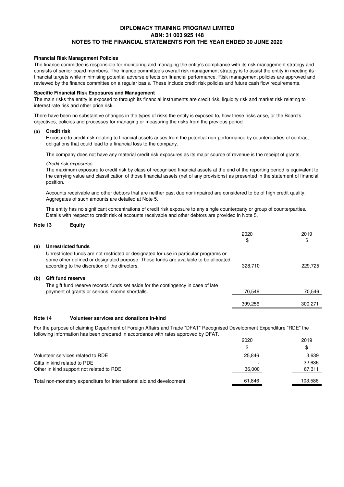#### **Financial Risk Management Policies**

The finance committee is responsible for monitoring and managing the entity's compliance with its risk management strategy and consists of senior board members. The finance committee's overall risk management strategy is to assist the entity in meeting its financial targets while minimising potential adverse effects on financial performance. Risk management policies are approved and reviewed by the finance committee on a regular basis. These include credit risk policies and future cash flow requirements.

## **Specific Financial Risk Exposures and Management**

The main risks the entity is exposed to through its financial instruments are credit risk, liquidity risk and market risk relating to interest rate risk and other price risk.

There have been no substantive changes in the types of risks the entity is exposed to, how these risks arise, or the Board's objectives, policies and processes for managing or measuring the risks from the previous period.

#### **(a) Credit risk**

Exposure to credit risk relating to financial assets arises from the potential non-performance by counterparties of contract obligations that could lead to a financial loss to the company.

The company does not have any material credit risk exposures as its major source of revenue is the receipt of grants.

#### Credit risk exposures

The maximum exposure to credit risk by class of recognised financial assets at the end of the reporting period is equivalent to the carrying value and classification of those financial assets (net of any provisions) as presented in the statement of financial position.

Accounts receivable and other debtors that are neither past due nor impaired are considered to be of high credit quality. Aggregates of such amounts are detailed at Note 5.

The entity has no significant concentrations of credit risk exposure to any single counterparty or group of counterparties. Details with respect to credit risk of accounts receivable and other debtors are provided in Note 5.

#### **Note 13 Equity**

|     |                                                                                                                                                                                                                               | 2020<br>\$ | 2019<br>\$ |
|-----|-------------------------------------------------------------------------------------------------------------------------------------------------------------------------------------------------------------------------------|------------|------------|
| (a) | Unrestricted funds                                                                                                                                                                                                            |            |            |
|     | Unrestricted funds are not restricted or designated for use in particular programs or<br>some other defined or designated purpose. These funds are available to be allocated<br>according to the discretion of the directors. | 328,710    | 229.725    |
| (b) | <b>Gift fund reserve</b>                                                                                                                                                                                                      |            |            |
|     | The gift fund reserve records funds set aside for the contingency in case of late<br>payment of grants or serious income shortfalls.                                                                                          | 70.546     | 70,546     |
|     |                                                                                                                                                                                                                               | 399.256    | 300.271    |
|     |                                                                                                                                                                                                                               |            |            |

## **Note 14 Volunteer services and donations in-kind**

For the purpose of claiming Department of Foreign Affairs and Trade "DFAT" Recognised Development Expenditure "RDE" the following information has been prepared in accordance with rates approved by DFAT.

|                                                                      | 2020                     | 2019    |
|----------------------------------------------------------------------|--------------------------|---------|
|                                                                      | \$                       |         |
| Volunteer services related to RDE                                    | 25.846                   | 3,639   |
| Gifts in kind related to RDE                                         | $\overline{\phantom{0}}$ | 32.636  |
| Other in kind support not related to RDE                             | 36,000                   | 67,311  |
| Total non-monetary expenditure for international aid and development | 61.846                   | 103.586 |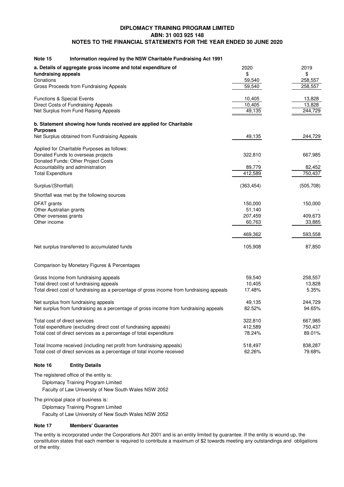| Note 15<br>Information required by the NSW Charitable Fundraising Act 1991                |            |           |
|-------------------------------------------------------------------------------------------|------------|-----------|
| a. Details of aggregate gross income and total expenditure of                             | 2020       | 2019      |
| fundraising appeals                                                                       | \$         | \$        |
| Donations                                                                                 | 59,540     | 258,557   |
| Gross Proceeds from Fundraising Appeals                                                   | 59,540     | 258,557   |
| <b>Functions &amp; Special Events</b>                                                     | 10,405     | 13,828    |
| Direct Costs of Fundraising Appeals                                                       | 10,405     | 13,828    |
| Net Surplus from Fund Raising Appeals                                                     | 49,135     | 244,729   |
| b. Statement showing how funds received are applied for Charitable                        |            |           |
| <b>Purposes</b><br>Net Surplus obtained from Fundraising Appeals                          | 49,135     | 244,729   |
|                                                                                           |            |           |
| Applied for Charitable Purposes as follows:                                               |            |           |
| Donated Funds to overseas projects<br>Donated Funds: Other Project Costs                  | 322,810    | 667,985   |
| Accountability and administration                                                         | 89,779     | 82,452    |
| <b>Total Expenditure</b>                                                                  | 412,589    | 750,437   |
|                                                                                           |            |           |
| Surplus/(Shortfall)                                                                       | (363, 454) | (505,708) |
| Shortfall was met by the following sources                                                |            |           |
| DFAT grants                                                                               | 150,000    | 150,000   |
| Other Australian grants                                                                   | 51,140     |           |
| Other overseas grants                                                                     | 207,459    | 409,673   |
| Other income                                                                              | 60,763     | 33,885    |
|                                                                                           | 469,362    | 593,558   |
| Net surplus transferred to accumulated funds                                              | 105,908    | 87,850    |
|                                                                                           |            |           |
| Comparison by Monetary Figures & Percentages                                              |            |           |
| Gross Income from fundraising appeals                                                     | 59,540     | 258,557   |
| Total direct cost of fundraising appeals                                                  | 10,405     | 13,828    |
| Total direct cost of fundraising as a percentage of gross income from fundraising appeals | 17.48%     | 5.35%     |
| Net surplus from fundraising appeals                                                      | 49,135     | 244,729   |
| Net surplus from fundraising as a percentage of gross income from fundraising appeals     | 82.52%     | 94.65%    |
| Total cost of direct services                                                             | 322,810    | 667,985   |
| Total expenditure (excluding direct cost of fundraising appeals)                          | 412,589    | 750,437   |
| Total cost of direct services as a percentage of total expenditure                        | 78.24%     | 89.01%    |
| Total Income received (including net profit from fundraising appeals)                     | 518,497    | 838,287   |
| Total cost of direct services as a percentage of total income received                    | 62.26%     | 79.68%    |

# **Note 16 Entity Details**

The registered office of the entity is:

Diplomacy Training Program Limited

Faculty of Law University of New South Wales NSW 2052

The principal place of business is:

Diplomacy Training Program Limited

Faculty of Law University of New South Wales NSW 2052

#### **Note 17 Members' Guarantee**

The entity is incorporated under the Corporations Act 2001 and is an entity limited by guarantee. If the entity is wound up, the constitution states that each member is required to contribute a maximum of \$2 towards meeting any outstandings and obligations of the entity.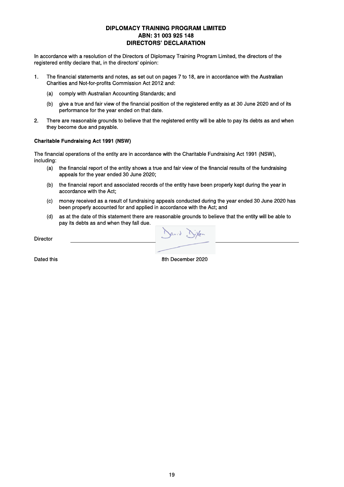# **DIPLOMACY TRAINING PROGRAM LIMITED** ABN: 31 003 925 148 **DIRECTORS' DECLARATION**

In accordance with a resolution of the Directors of Diplomacy Training Program Limited, the directors of the registered entity declare that, in the directors' opinion:

- The financial statements and notes, as set out on pages 7 to 18, are in accordance with the Australian  $\mathbf 1$ Charities and Not-for-profits Commission Act 2012 and:
	- comply with Australian Accounting Standards; and  $(a)$
	- $(b)$ give a true and fair view of the financial position of the registered entity as at 30 June 2020 and of its performance for the year ended on that date.
- There are reasonable grounds to believe that the registered entity will be able to pay its debts as and when  $\overline{2}$ they become due and payable.

#### **Charitable Fundraising Act 1991 (NSW)**

The financial operations of the entity are in accordance with the Charitable Fundraising Act 1991 (NSW), including:

- the financial report of the entity shows a true and fair view of the financial results of the fundraising  $(a)$ appeals for the year ended 30 June 2020;
- the financial report and associated records of the entity have been properly kept during the year in  $(b)$ accordance with the Act:
- money received as a result of fundraising appeals conducted during the year ended 30 June 2020 has  $(c)$ been properly accounted for and applied in accordance with the Act; and
- as at the date of this statement there are reasonable grounds to believe that the entity will be able to  $(d)$ pay its debts as and when they fall due.

**Director** 

Dated this

8th December 2020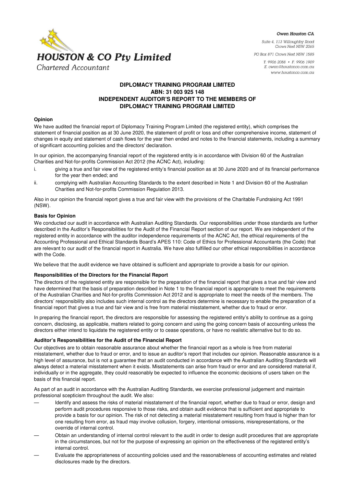

Owen Houston CA

Suite 4, 113 Willoughby Road Crows Nest NSW 2065

PO Box 871 Crows Nest NSW 1585

T. 9906 2088 · F. 9906 1909 E. owen@houstonco.com.au www.houstonco.com.au

# **DIPLOMACY TRAINING PROGRAM LIMITED ABN: 31 003 925 148 INDEPENDENT AUDITOR'S REPORT TO THE MEMBERS OF DIPLOMACY TRAINING PROGRAM LIMITED**

#### **Opinion**

We have audited the financial report of Diplomacy Training Program Limited (the registered entity), which comprises the statement of financial position as at 30 June 2020, the statement of profit or loss and other comprehensive income, statement of changes in equity and statement of cash flows for the year then ended and notes to the financial statements, including a summary of significant accounting policies and the directors' declaration.

In our opinion, the accompanying financial report of the registered entity is in accordance with Division 60 of the Australian Charities and Not-for-profits Commission Act 2012 (the ACNC Act), including:

- i. giving a true and fair view of the registered entity's financial position as at 30 June 2020 and of its financial performance for the year then ended; and
- ii. complying with Australian Accounting Standards to the extent described in Note 1 and Division 60 of the Australian Charities and Not-for-profits Commission Regulation 2013.

Also in our opinion the financial report gives a true and fair view with the provisions of the Charitable Fundraising Act 1991 (NSW).

## **Basis for Opinion**

We conducted our audit in accordance with Australian Auditing Standards. Our responsibilities under those standards are further described in the Auditor's Responsibilities for the Audit of the Financial Report section of our report. We are independent of the registered entity in accordance with the auditor independence requirements of the ACNC Act, the ethical requirements of the Accounting Professional and Ethical Standards Board's APES 110: Code of Ethics for Professional Accountants (the Code) that are relevant to our audit of the financial report in Australia. We have also fulfilled our other ethical responsibilities in accordance with the Code.

We believe that the audit evidence we have obtained is sufficient and appropriate to provide a basis for our opinion.

## **Responsibilities of the Directors for the Financial Report**

The directors of the registered entity are responsible for the preparation of the financial report that gives a true and fair view and have determined that the basis of preparation described in Note 1 to the financial report is appropriate to meet the requirements of the Australian Charities and Not-for-profits Commission Act 2012 and is appropriate to meet the needs of the members. The directors' responsibility also includes such internal control as the directors determine is necessary to enable the preparation of a financial report that gives a true and fair view and is free from material misstatement, whether due to fraud or error.

In preparing the financial report, the directors are responsible for assessing the registered entity's ability to continue as a going concern, disclosing, as applicable, matters related to going concern and using the going concern basis of accounting unless the directors either intend to liquidate the registered entity or to cease operations, or have no realistic alternative but to do so.

## **Auditor's Responsibilities for the Audit of the Financial Report**

Our objectives are to obtain reasonable assurance about whether the financial report as a whole is free from material misstatement, whether due to fraud or error, and to issue an auditor's report that includes our opinion. Reasonable assurance is a high level of assurance, but is not a guarantee that an audit conducted in accordance with the Australian Auditing Standards will always detect a material misstatement when it exists. Misstatements can arise from fraud or error and are considered material if, individually or in the aggregate, they could reasonably be expected to influence the economic decisions of users taken on the basis of this financial report.

As part of an audit in accordance with the Australian Auditing Standards, we exercise professional judgement and maintain professional scepticism throughout the audit. We also:

- Identify and assess the risks of material misstatement of the financial report, whether due to fraud or error, design and perform audit procedures responsive to those risks, and obtain audit evidence that is sufficient and appropriate to provide a basis for our opinion. The risk of not detecting a material misstatement resulting from fraud is higher than for one resulting from error, as fraud may involve collusion, forgery, intentional omissions, misrepresentations, or the override of internal control.
- Obtain an understanding of internal control relevant to the audit in order to design audit procedures that are appropriate in the circumstances, but not for the purpose of expressing an opinion on the effectiveness of the registered entity's internal control.
- Evaluate the appropriateness of accounting policies used and the reasonableness of accounting estimates and related disclosures made by the directors.